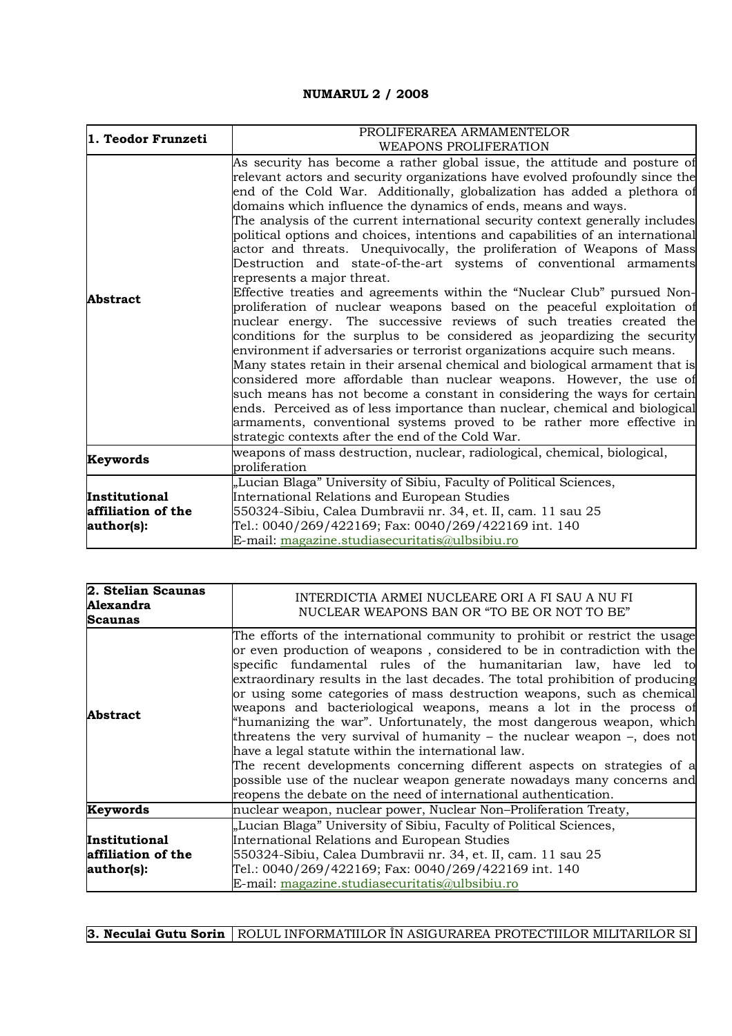## **NUMARUL 2 / 2008**

| 1. Teodor Frunzeti                                | PROLIFERAREA ARMAMENTELOR<br><b>WEAPONS PROLIFERATION</b>                                                                                                                                                                                                                                                                                                                                                                                                                                                                                                                                                                                                                                                                                                                                                                                                                                                                                                                                                                                                                                                                                                                                                                                                                                                                                                                                                                                                                                      |
|---------------------------------------------------|------------------------------------------------------------------------------------------------------------------------------------------------------------------------------------------------------------------------------------------------------------------------------------------------------------------------------------------------------------------------------------------------------------------------------------------------------------------------------------------------------------------------------------------------------------------------------------------------------------------------------------------------------------------------------------------------------------------------------------------------------------------------------------------------------------------------------------------------------------------------------------------------------------------------------------------------------------------------------------------------------------------------------------------------------------------------------------------------------------------------------------------------------------------------------------------------------------------------------------------------------------------------------------------------------------------------------------------------------------------------------------------------------------------------------------------------------------------------------------------------|
| <b>Abstract</b>                                   | As security has become a rather global issue, the attitude and posture of<br>relevant actors and security organizations have evolved profoundly since the<br>end of the Cold War. Additionally, globalization has added a plethora of<br>domains which influence the dynamics of ends, means and ways.<br>The analysis of the current international security context generally includes<br>political options and choices, intentions and capabilities of an international<br>actor and threats. Unequivocally, the proliferation of Weapons of Mass<br>Destruction and state-of-the-art systems of conventional armaments<br>represents a major threat.<br>Effective treaties and agreements within the "Nuclear Club" pursued Non-<br>proliferation of nuclear weapons based on the peaceful exploitation of<br>nuclear energy. The successive reviews of such treaties created the<br>conditions for the surplus to be considered as jeopardizing the security<br>environment if adversaries or terrorist organizations acquire such means.<br>Many states retain in their arsenal chemical and biological armament that is<br>considered more affordable than nuclear weapons. However, the use of<br>such means has not become a constant in considering the ways for certain<br>ends. Perceived as of less importance than nuclear, chemical and biological<br>armaments, conventional systems proved to be rather more effective in<br>strategic contexts after the end of the Cold War. |
| Keywords                                          | weapons of mass destruction, nuclear, radiological, chemical, biological,<br>proliferation                                                                                                                                                                                                                                                                                                                                                                                                                                                                                                                                                                                                                                                                                                                                                                                                                                                                                                                                                                                                                                                                                                                                                                                                                                                                                                                                                                                                     |
| Institutional<br>affiliation of the<br>author(s): | "Lucian Blaga" University of Sibiu, Faculty of Political Sciences,<br>International Relations and European Studies<br>550324-Sibiu, Calea Dumbravii nr. 34, et. II, cam. 11 sau 25<br>Tel.: 0040/269/422169; Fax: 0040/269/422169 int. 140<br>E-mail: magazine.studiasecuritatis@ulbsibiu.ro                                                                                                                                                                                                                                                                                                                                                                                                                                                                                                                                                                                                                                                                                                                                                                                                                                                                                                                                                                                                                                                                                                                                                                                                   |

| 2. Stelian Scaunas<br>Alexandra<br><b>Scaunas</b> | INTERDICTIA ARMEI NUCLEARE ORI A FI SAU A NU FI<br>NUCLEAR WEAPONS BAN OR "TO BE OR NOT TO BE"                                                                                                                                                                                                                                                                                                                                                                                                                                                                                                                                                                                                                                                                                                                                                                                                   |
|---------------------------------------------------|--------------------------------------------------------------------------------------------------------------------------------------------------------------------------------------------------------------------------------------------------------------------------------------------------------------------------------------------------------------------------------------------------------------------------------------------------------------------------------------------------------------------------------------------------------------------------------------------------------------------------------------------------------------------------------------------------------------------------------------------------------------------------------------------------------------------------------------------------------------------------------------------------|
| <b>Abstract</b>                                   | The efforts of the international community to prohibit or restrict the usage<br>or even production of weapons, considered to be in contradiction with the<br>specific fundamental rules of the humanitarian law, have led to<br>extraordinary results in the last decades. The total prohibition of producing<br>or using some categories of mass destruction weapons, such as chemical<br>weapons and bacteriological weapons, means a lot in the process of<br>"humanizing the war". Unfortunately, the most dangerous weapon, which<br>threatens the very survival of humanity – the nuclear weapon –, does not<br>have a legal statute within the international law.<br>The recent developments concerning different aspects on strategies of a<br>possible use of the nuclear weapon generate nowadays many concerns and<br>reopens the debate on the need of international authentication. |
| Keywords                                          | nuclear weapon, nuclear power, Nuclear Non-Proliferation Treaty,                                                                                                                                                                                                                                                                                                                                                                                                                                                                                                                                                                                                                                                                                                                                                                                                                                 |
| Institutional<br>affiliation of the<br>author(s): | "Lucian Blaga" University of Sibiu, Faculty of Political Sciences,<br>International Relations and European Studies<br>550324-Sibiu, Calea Dumbravii nr. 34, et. II, cam. 11 sau 25<br>Tel.: 0040/269/422169; Fax: 0040/269/422169 int. 140<br>E-mail: magazine.studiasecuritatis@ulbsibiu.ro                                                                                                                                                                                                                                                                                                                                                                                                                                                                                                                                                                                                     |

**3. Neculai Gutu Sorin | ROLUL INFORMATIILOR ÎN ASIGURAREA PROTECTIILOR MILITARILOR SI**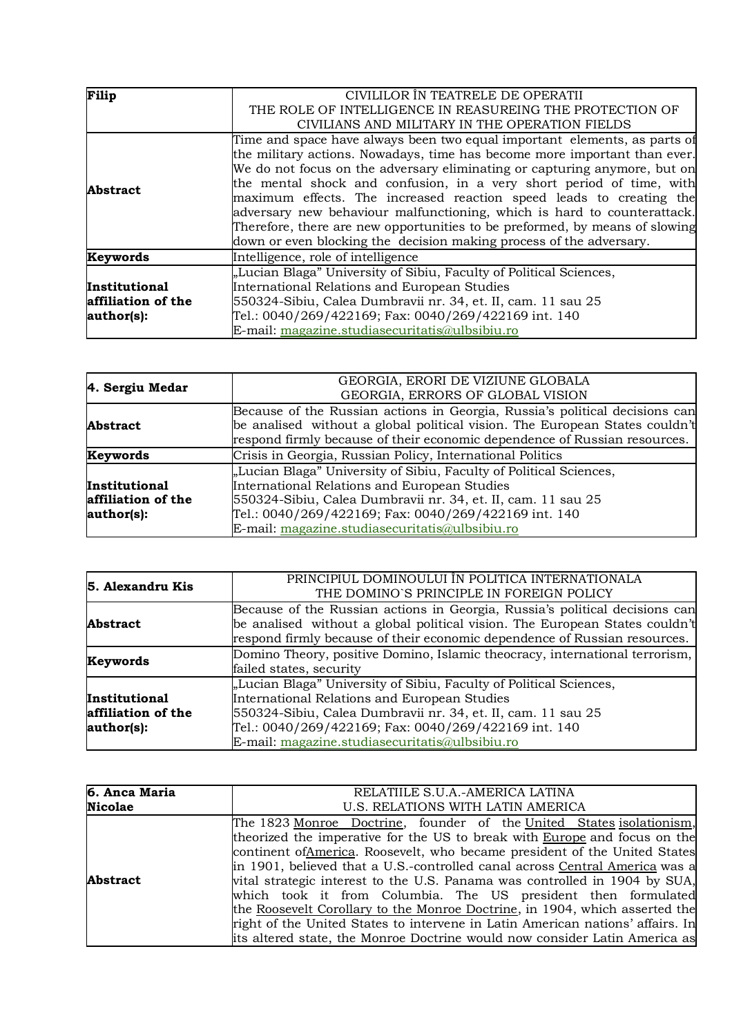| Filip                | CIVILILOR ÎN TEATRELE DE OPERATII                                           |  |
|----------------------|-----------------------------------------------------------------------------|--|
|                      | THE ROLE OF INTELLIGENCE IN REASUREING THE PROTECTION OF                    |  |
|                      | CIVILIANS AND MILITARY IN THE OPERATION FIELDS                              |  |
|                      | Time and space have always been two equal important elements, as parts of   |  |
|                      | the military actions. Nowadays, time has become more important than ever.   |  |
|                      | We do not focus on the adversary eliminating or capturing anymore, but on   |  |
| <b>Abstract</b>      | the mental shock and confusion, in a very short period of time, with        |  |
|                      | maximum effects. The increased reaction speed leads to creating the         |  |
|                      | adversary new behaviour malfunctioning, which is hard to counterattack.     |  |
|                      | Therefore, there are new opportunities to be preformed, by means of slowing |  |
|                      | down or even blocking the decision making process of the adversary.         |  |
| Keywords             | Intelligence, role of intelligence                                          |  |
|                      | "Lucian Blaga" University of Sibiu, Faculty of Political Sciences,          |  |
| <b>Institutional</b> | International Relations and European Studies                                |  |
| affiliation of the   | 550324-Sibiu, Calea Dumbravii nr. 34, et. II, cam. 11 sau 25                |  |
| author(s):           | Tel.: 0040/269/422169; Fax: 0040/269/422169 int. 140                        |  |
|                      | E-mail: magazine.studiasecuritatis@ulbsibiu.ro                              |  |

| 4. Sergiu Medar                                   | GEORGIA, ERORI DE VIZIUNE GLOBALA                                                                                                                                                                                                                                                            |
|---------------------------------------------------|----------------------------------------------------------------------------------------------------------------------------------------------------------------------------------------------------------------------------------------------------------------------------------------------|
|                                                   | GEORGIA, ERRORS OF GLOBAL VISION                                                                                                                                                                                                                                                             |
| <b>Abstract</b>                                   | Because of the Russian actions in Georgia, Russia's political decisions can<br>be analised without a global political vision. The European States couldn't<br>respond firmly because of their economic dependence of Russian resources.                                                      |
| <b>Keywords</b>                                   | Crisis in Georgia, Russian Policy, International Politics                                                                                                                                                                                                                                    |
| Institutional<br>affiliation of the<br>author(s): | "Lucian Blaga" University of Sibiu, Faculty of Political Sciences,<br>International Relations and European Studies<br>550324-Sibiu, Calea Dumbravii nr. 34, et. II, cam. 11 sau 25<br>Tel.: 0040/269/422169; Fax: 0040/269/422169 int. 140<br>E-mail: magazine.studiasecuritatis@ulbsibiu.ro |

| 5. Alexandru Kis   | PRINCIPIUL DOMINOULUI ÎN POLITICA INTERNATIONALA                            |
|--------------------|-----------------------------------------------------------------------------|
|                    | THE DOMINO'S PRINCIPLE IN FOREIGN POLICY                                    |
|                    | Because of the Russian actions in Georgia, Russia's political decisions can |
| <b>Abstract</b>    | be analised without a global political vision. The European States couldn't |
|                    | respond firmly because of their economic dependence of Russian resources.   |
| Keywords           | Domino Theory, positive Domino, Islamic theocracy, international terrorism, |
|                    | failed states, security                                                     |
|                    | "Lucian Blaga" University of Sibiu, Faculty of Political Sciences,          |
| Institutional      | International Relations and European Studies                                |
| affiliation of the | 550324-Sibiu, Calea Dumbravii nr. 34, et. II, cam. 11 sau 25                |
| author(s):         | Tel.: 0040/269/422169; Fax: 0040/269/422169 int. 140                        |
|                    | E-mail: magazine.studiasecuritatis@ulbsibiu.ro                              |

| 6. Anca Maria   | RELATIILE S.U.A.-AMERICA LATINA                                                                                                                                                                                                                                                                                                                                                                                                                                                                                                                                                                                                                                                                               |
|-----------------|---------------------------------------------------------------------------------------------------------------------------------------------------------------------------------------------------------------------------------------------------------------------------------------------------------------------------------------------------------------------------------------------------------------------------------------------------------------------------------------------------------------------------------------------------------------------------------------------------------------------------------------------------------------------------------------------------------------|
| <b>Nicolae</b>  | U.S. RELATIONS WITH LATIN AMERICA                                                                                                                                                                                                                                                                                                                                                                                                                                                                                                                                                                                                                                                                             |
| <b>Abstract</b> | The 1823 Monroe Doctrine, founder of the United States isolationism,<br>theorized the imperative for the US to break with Europe and focus on the<br>continent of America. Roosevelt, who became president of the United States<br>in 1901, believed that a U.S.-controlled canal across Central America was a<br>wital strategic interest to the U.S. Panama was controlled in 1904 by SUA,<br>which took it from Columbia. The US president then formulated<br>the Roosevelt Corollary to the Monroe Doctrine, in 1904, which asserted the<br>right of the United States to intervene in Latin American nations' affairs. In<br>lits altered state, the Monroe Doctrine would now consider Latin America as |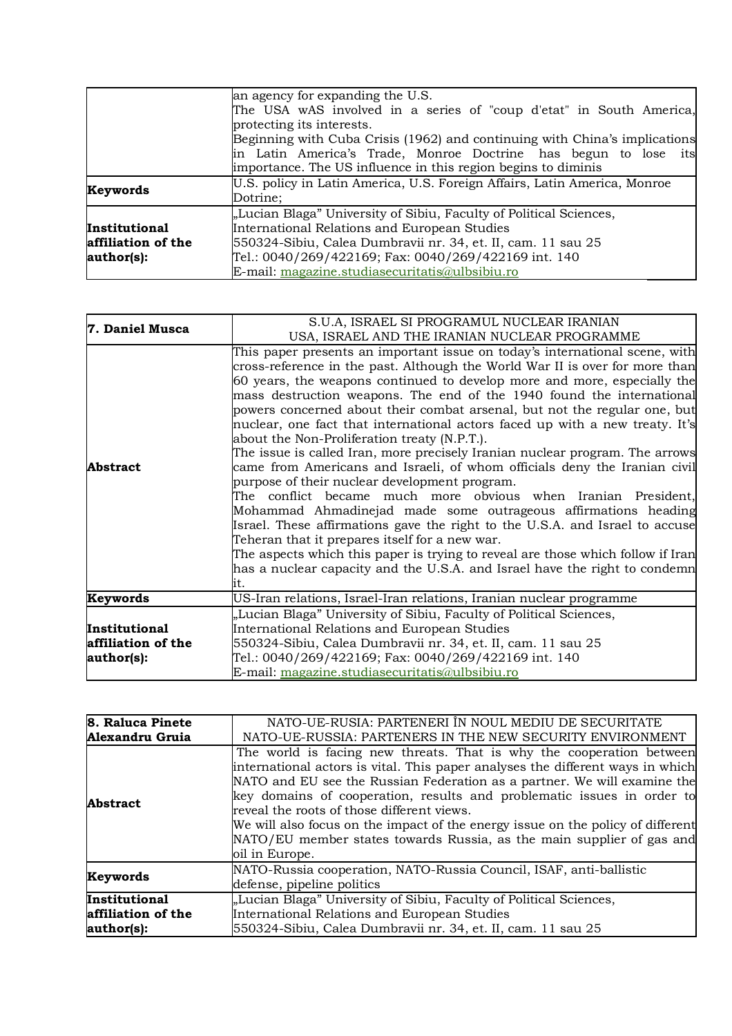|                    | an agency for expanding the U.S.                                           |  |
|--------------------|----------------------------------------------------------------------------|--|
|                    | The USA wAS involved in a series of "coup d'etat" in South America,        |  |
|                    | protecting its interests.                                                  |  |
|                    | Beginning with Cuba Crisis (1962) and continuing with China's implications |  |
|                    | in Latin America's Trade, Monroe Doctrine has begun to lose its            |  |
|                    | importance. The US influence in this region begins to diminis              |  |
| Keywords           | U.S. policy in Latin America, U.S. Foreign Affairs, Latin America, Monroe  |  |
|                    | Dotrine;                                                                   |  |
|                    | "Lucian Blaga" University of Sibiu, Faculty of Political Sciences,         |  |
| Institutional      | International Relations and European Studies                               |  |
| affiliation of the | 550324-Sibiu, Calea Dumbravii nr. 34, et. II, cam. 11 sau 25               |  |
| author(s):         | Tel.: 0040/269/422169; Fax: 0040/269/422169 int. 140                       |  |
|                    | E-mail: magazine.studiasecuritatis@ulbsibiu.ro                             |  |

| 7. Daniel Musca    | S.U.A, ISRAEL SI PROGRAMUL NUCLEAR IRANIAN                                      |  |
|--------------------|---------------------------------------------------------------------------------|--|
|                    | USA, ISRAEL AND THE IRANIAN NUCLEAR PROGRAMME                                   |  |
|                    | This paper presents an important issue on today's international scene, with     |  |
|                    | cross-reference in the past. Although the World War II is over for more than    |  |
|                    | 60 years, the weapons continued to develop more and more, especially the        |  |
|                    | mass destruction weapons. The end of the 1940 found the international           |  |
|                    | powers concerned about their combat arsenal, but not the regular one, but       |  |
|                    | nuclear, one fact that international actors faced up with a new treaty. It's    |  |
|                    | about the Non-Proliferation treaty (N.P.T.).                                    |  |
| <b>Abstract</b>    | The issue is called Iran, more precisely Iranian nuclear program. The arrows    |  |
|                    | came from Americans and Israeli, of whom officials deny the Iranian civil       |  |
|                    | purpose of their nuclear development program.                                   |  |
|                    | The conflict became much more obvious when Iranian President,                   |  |
|                    | Mohammad Ahmadinejad made some outrageous affirmations heading                  |  |
|                    | Israel. These affirmations gave the right to the U.S.A. and Israel to accuse    |  |
|                    | Teheran that it prepares itself for a new war.                                  |  |
|                    | The aspects which this paper is trying to reveal are those which follow if Iran |  |
|                    | has a nuclear capacity and the U.S.A. and Israel have the right to condemn      |  |
|                    | lit.                                                                            |  |
| Keywords           | US-Iran relations, Israel-Iran relations, Iranian nuclear programme             |  |
|                    | "Lucian Blaga" University of Sibiu, Faculty of Political Sciences,              |  |
| Institutional      | International Relations and European Studies                                    |  |
| affiliation of the | 550324-Sibiu, Calea Dumbravii nr. 34, et. II, cam. 11 sau 25                    |  |
| author(s):         | Tel.: 0040/269/422169; Fax: 0040/269/422169 int. 140                            |  |
|                    | E-mail: magazine.studiasecuritatis@ulbsibiu.ro                                  |  |

| 8. Raluca Pinete   | NATO-UE-RUSIA: PARTENERI ÎN NOUL MEDIU DE SECURITATE                                                                                                                                                                                                                                                                                                                                                                                                                                                                                     |  |
|--------------------|------------------------------------------------------------------------------------------------------------------------------------------------------------------------------------------------------------------------------------------------------------------------------------------------------------------------------------------------------------------------------------------------------------------------------------------------------------------------------------------------------------------------------------------|--|
| Alexandru Gruia    | NATO-UE-RUSSIA: PARTENERS IN THE NEW SECURITY ENVIRONMENT                                                                                                                                                                                                                                                                                                                                                                                                                                                                                |  |
| <b>Abstract</b>    | The world is facing new threats. That is why the cooperation between<br>international actors is vital. This paper analyses the different ways in which<br>NATO and EU see the Russian Federation as a partner. We will examine the<br>key domains of cooperation, results and problematic issues in order to<br>reveal the roots of those different views.<br>We will also focus on the impact of the energy issue on the policy of different<br>NATO/EU member states towards Russia, as the main supplier of gas and<br>oil in Europe. |  |
| Keywords           | NATO-Russia cooperation, NATO-Russia Council, ISAF, anti-ballistic<br>defense, pipeline politics                                                                                                                                                                                                                                                                                                                                                                                                                                         |  |
| Institutional      | "Lucian Blaga" University of Sibiu, Faculty of Political Sciences,                                                                                                                                                                                                                                                                                                                                                                                                                                                                       |  |
| affiliation of the | International Relations and European Studies                                                                                                                                                                                                                                                                                                                                                                                                                                                                                             |  |
| author(s):         | 550324-Sibiu, Calea Dumbravii nr. 34, et. II, cam. 11 sau 25                                                                                                                                                                                                                                                                                                                                                                                                                                                                             |  |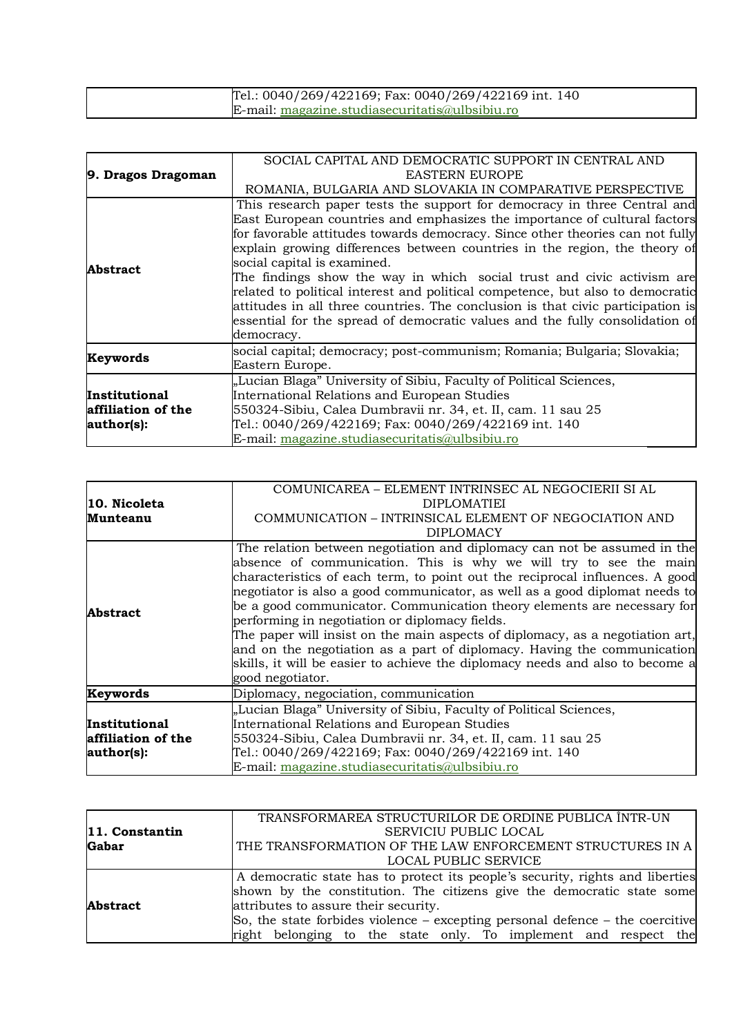| Tel.: 0040/269/422169; Fax: 0040/269/422169 int. 140 |  |
|------------------------------------------------------|--|
| $E$ -mail: magazine.studiasecuritatis@ulbsibiu.ro    |  |

| 9. Dragos Dragoman                                | SOCIAL CAPITAL AND DEMOCRATIC SUPPORT IN CENTRAL AND<br><b>EASTERN EUROPE</b><br>ROMANIA, BULGARIA AND SLOVAKIA IN COMPARATIVE PERSPECTIVE                                                                                                                                                                                                                                                                                                                                                                                                                                                                                                                                                       |  |  |
|---------------------------------------------------|--------------------------------------------------------------------------------------------------------------------------------------------------------------------------------------------------------------------------------------------------------------------------------------------------------------------------------------------------------------------------------------------------------------------------------------------------------------------------------------------------------------------------------------------------------------------------------------------------------------------------------------------------------------------------------------------------|--|--|
| <b>Abstract</b>                                   | This research paper tests the support for democracy in three Central and<br>East European countries and emphasizes the importance of cultural factors<br>for favorable attitudes towards democracy. Since other theories can not fully<br>explain growing differences between countries in the region, the theory of<br>social capital is examined.<br>The findings show the way in which social trust and civic activism are<br>related to political interest and political competence, but also to democratic<br>attitudes in all three countries. The conclusion is that civic participation is<br>essential for the spread of democratic values and the fully consolidation of<br>democracy. |  |  |
| Keywords                                          | social capital; democracy; post-communism; Romania; Bulgaria; Slovakia;<br>Eastern Europe.                                                                                                                                                                                                                                                                                                                                                                                                                                                                                                                                                                                                       |  |  |
| Institutional<br>affiliation of the<br>author(s): | "Lucian Blaga" University of Sibiu, Faculty of Political Sciences,<br>International Relations and European Studies<br>550324-Sibiu, Calea Dumbravii nr. 34, et. II, cam. 11 sau 25<br>Tel.: 0040/269/422169; Fax: 0040/269/422169 int. 140<br>E-mail: magazine.studiasecuritatis@ulbsibiu.ro                                                                                                                                                                                                                                                                                                                                                                                                     |  |  |

|                    | COMUNICAREA – ELEMENT INTRINSEC AL NEGOCIERII SI AL                           |  |  |
|--------------------|-------------------------------------------------------------------------------|--|--|
| 10. Nicoleta       | <b>DIPLOMATIEI</b>                                                            |  |  |
| Munteanu           | COMMUNICATION – INTRINSICAL ELEMENT OF NEGOCIATION AND                        |  |  |
|                    | <b>DIPLOMACY</b>                                                              |  |  |
|                    | The relation between negotiation and diplomacy can not be assumed in the      |  |  |
|                    | absence of communication. This is why we will try to see the main             |  |  |
|                    | characteristics of each term, to point out the reciprocal influences. A good  |  |  |
| <b>Abstract</b>    | negotiator is also a good communicator, as well as a good diplomat needs to   |  |  |
|                    | be a good communicator. Communication theory elements are necessary for       |  |  |
|                    | performing in negotiation or diplomacy fields.                                |  |  |
|                    | The paper will insist on the main aspects of diplomacy, as a negotiation art, |  |  |
|                    | and on the negotiation as a part of diplomacy. Having the communication       |  |  |
|                    | skills, it will be easier to achieve the diplomacy needs and also to become a |  |  |
|                    | good negotiator.                                                              |  |  |
| Keywords           | Diplomacy, negociation, communication                                         |  |  |
|                    | "Lucian Blaga" University of Sibiu, Faculty of Political Sciences,            |  |  |
| Institutional      | International Relations and European Studies                                  |  |  |
| affiliation of the | 550324-Sibiu, Calea Dumbravii nr. 34, et. II, cam. 11 sau 25                  |  |  |
| author(s):         | Tel.: 0040/269/422169; Fax: 0040/269/422169 int. 140                          |  |  |
|                    | E-mail: magazine.studiasecuritatis@ulbsibiu.ro                                |  |  |

|                 | TRANSFORMAREA STRUCTURILOR DE ORDINE PUBLICA ÎNTR-UN                              |
|-----------------|-----------------------------------------------------------------------------------|
| 11. Constantin  | <b>SERVICIU PUBLIC LOCAL</b>                                                      |
| <b>Gabar</b>    | THE TRANSFORMATION OF THE LAW ENFORCEMENT STRUCTURES IN A                         |
|                 | LOCAL PUBLIC SERVICE                                                              |
|                 | A democratic state has to protect its people's security, rights and liberties     |
|                 | shown by the constitution. The citizens give the democratic state some            |
| <b>Abstract</b> | attributes to assure their security.                                              |
|                 | So, the state forbides violence $-$ excepting personal defence $-$ the coercitive |
|                 | right belonging to the state only. To implement and respect the                   |